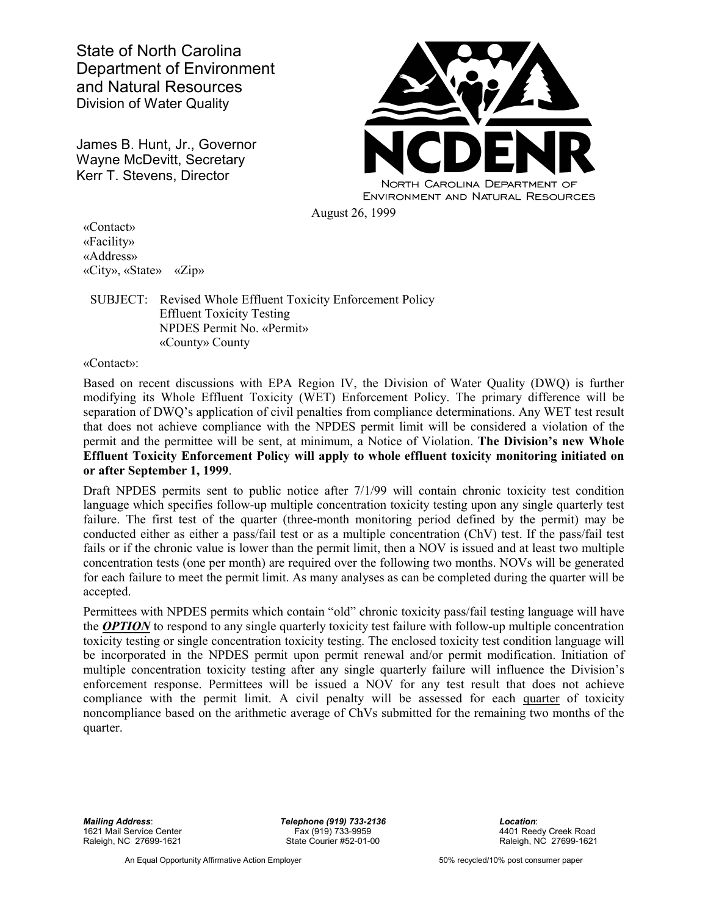State of North Carolina Department of Environment and Natural Resources Division of Water Quality

James B. Hunt, Jr., Governor Wayne McDevitt, Secretary Kerr T. Stevens, Director



«Contact» «Facility» «Address» «City», «State» «Zip»

## SUBJECT: Revised Whole Effluent Toxicity Enforcement Policy Effluent Toxicity Testing NPDES Permit No. «Permit» «County» County

«Contact»:

Based on recent discussions with EPA Region IV, the Division of Water Quality (DWQ) is further modifying its Whole Effluent Toxicity (WET) Enforcement Policy. The primary difference will be separation of DWQ's application of civil penalties from compliance determinations. Any WET test result that does not achieve compliance with the NPDES permit limit will be considered a violation of the permit and the permittee will be sent, at minimum, a Notice of Violation. **The Division's new Whole Effluent Toxicity Enforcement Policy will apply to whole effluent toxicity monitoring initiated on or after September 1, 1999**.

Draft NPDES permits sent to public notice after 7/1/99 will contain chronic toxicity test condition language which specifies follow-up multiple concentration toxicity testing upon any single quarterly test failure. The first test of the quarter (three-month monitoring period defined by the permit) may be conducted either as either a pass/fail test or as a multiple concentration (ChV) test. If the pass/fail test fails or if the chronic value is lower than the permit limit, then a NOV is issued and at least two multiple concentration tests (one per month) are required over the following two months. NOVs will be generated for each failure to meet the permit limit. As many analyses as can be completed during the quarter will be accepted.

Permittees with NPDES permits which contain "old" chronic toxicity pass/fail testing language will have the *OPTION* to respond to any single quarterly toxicity test failure with follow-up multiple concentration toxicity testing or single concentration toxicity testing. The enclosed toxicity test condition language will be incorporated in the NPDES permit upon permit renewal and/or permit modification. Initiation of multiple concentration toxicity testing after any single quarterly failure will influence the Division's enforcement response. Permittees will be issued a NOV for any test result that does not achieve compliance with the permit limit. A civil penalty will be assessed for each quarter of toxicity noncompliance based on the arithmetic average of ChVs submitted for the remaining two months of the quarter.

1621 Mail Service Center Fax (919) 733-9959 4401 Reedy Creek Road Raleigh, NC 27699-1621 **State Courier #52-01-00** Raleigh, NC 27699-1621

*Mailing Address*: *Telephone (919) 733-2136 Location*:

An Equal Opportunity Affirmative Action Employer 60% recycled/10% post consumer paper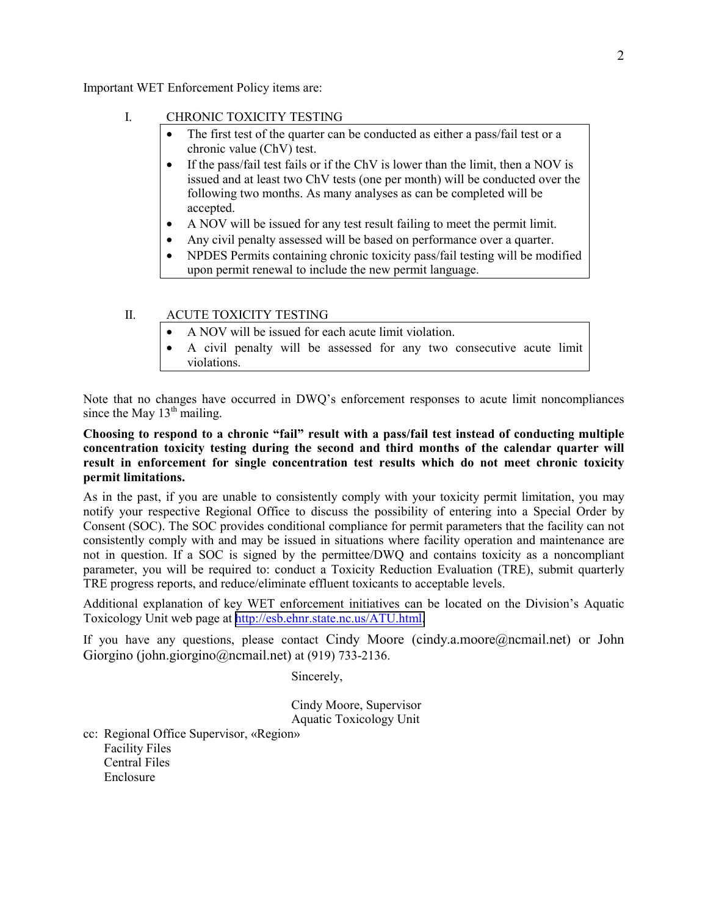Important WET Enforcement Policy items are:

## I. CHRONIC TOXICITY TESTING

- The first test of the quarter can be conducted as either a pass/fail test or a chronic value (ChV) test.
- If the pass/fail test fails or if the ChV is lower than the limit, then a NOV is issued and at least two ChV tests (one per month) will be conducted over the following two months. As many analyses as can be completed will be accepted.
- A NOV will be issued for any test result failing to meet the permit limit.
- Any civil penalty assessed will be based on performance over a quarter.
- NPDES Permits containing chronic toxicity pass/fail testing will be modified upon permit renewal to include the new permit language.

## II. ACUTE TOXICITY TESTING

- A NOV will be issued for each acute limit violation.
- A civil penalty will be assessed for any two consecutive acute limit violations.

Note that no changes have occurred in DWQ's enforcement responses to acute limit noncompliances since the May  $13<sup>th</sup>$  mailing.

**Choosing to respond to a chronic "fail" result with a pass/fail test instead of conducting multiple concentration toxicity testing during the second and third months of the calendar quarter will result in enforcement for single concentration test results which do not meet chronic toxicity permit limitations.**

As in the past, if you are unable to consistently comply with your toxicity permit limitation, you may notify your respective Regional Office to discuss the possibility of entering into a Special Order by Consent (SOC). The SOC provides conditional compliance for permit parameters that the facility can not consistently comply with and may be issued in situations where facility operation and maintenance are not in question. If a SOC is signed by the permittee/DWQ and contains toxicity as a noncompliant parameter, you will be required to: conduct a Toxicity Reduction Evaluation (TRE), submit quarterly TRE progress reports, and reduce/eliminate effluent toxicants to acceptable levels.

Additional explanation of key WET enforcement initiatives can be located on the Division's Aquatic Toxicology Unit web page at [http://esb.ehnr.state.nc.us/ATU.html.](http://esb.ehnr.state.nc.us/ATU.html)

If you have any questions, please contact Cindy Moore (cindy.a.moore@ncmail.net) or John Giorgino (john.giorgino@ncmail.net) at (919) 733-2136.

Sincerely,

Cindy Moore, Supervisor Aquatic Toxicology Unit

cc: Regional Office Supervisor, «Region» Facility Files

 Central Files Enclosure